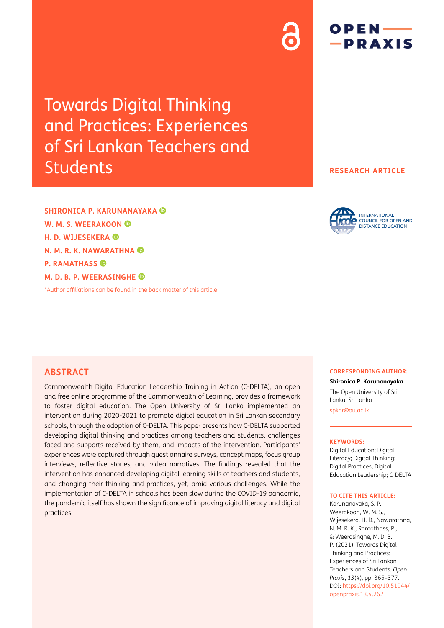# Towards Digital Thinking and Practices: Experiences of Sri Lankan Teachers and Students

**SHIRONICA P. KARUNANAYAKA W. M. S. WEERAKOON H. D. WIJESEKERA N. M. R. K. NAWARATHNA P. RAMATHASS M. D. B. P. WEERASINGHE**

[\\*Author affiliations can be found in the back matter of this article](#page-10-0)

# **RESEARCH ARTICLE**

 $OPEN$  —

-PRAXIS

#### **INTERNATIONAL COUNCIL FOR OPEN AND DISTANCE EDUCATION**

## **ABSTRACT**

Commonwealth Digital Education Leadership Training in Action (C-DELTA), an open and free online programme of the Commonwealth of Learning, provides a framework to foster digital education. The Open University of Sri Lanka implemented an intervention during 2020-2021 to promote digital education in Sri Lankan secondary schools, through the adoption of C-DELTA. This paper presents how C-DELTA supported developing digital thinking and practices among teachers and students, challenges faced and supports received by them, and impacts of the intervention. Participants' experiences were captured through questionnaire surveys, concept maps, focus group interviews, reflective stories, and video narratives. The findings revealed that the intervention has enhanced developing digital learning skills of teachers and students, and changing their thinking and practices, yet, amid various challenges. While the implementation of C-DELTA in schools has been slow during the COVID-19 pandemic, the pandemic itself has shown the significance of improving digital literacy and digital practices.

#### **CORRESPONDING AUTHOR:**

**Shironica P. Karunanayaka**

The Open University of Sri Lanka, Sri Lanka [spkar@ou.ac.lk](mailto:spkar@ou.ac.lk)

#### **KEYWORDS:**

Digital Education; Digital Literacy; Digital Thinking; Digital Practices; Digital Education Leadership; C-DELTA

#### **TO CITE THIS ARTICLE:**

Karunanayaka, S. P., Weerakoon, W. M. S., Wijesekera, H. D., Nawarathna, N. M. R. K., Ramathass, P., & Weerasinghe, M. D. B. P. (2021). Towards Digital Thinking and Practices: Experiences of Sri Lankan Teachers and Students. *Open Praxis*, *13*(4), pp. 365–377. DOI: [https://doi.org/](https://doi.org/10.51944/openpraxis.13.4.262)10.55982/ [openpraxis.13.4.262](https://doi.org/10.51944/openpraxis.13.4.262)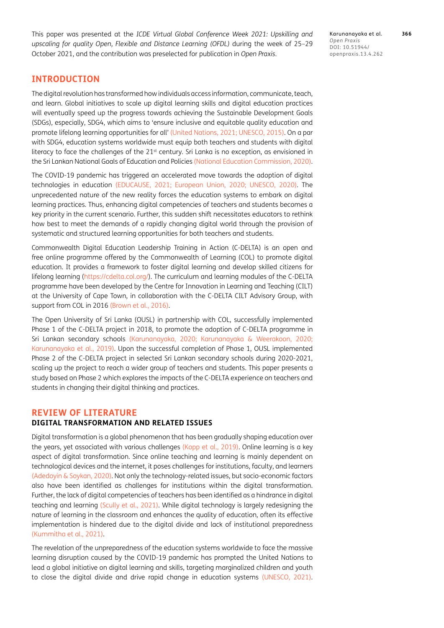This paper was presented at the *ICDE Virtual Global Conference Week 2021: Upskilling and upscaling for quality Open, Flexible and Distance Learning (OFDL)* during the week of 25–29 October 2021, and the contribution was preselected for publication in *Open Praxis*.

Karunanayaka et al. **366** *Open Praxis* DOI: openpraxis.13.4.262

# **INTRODUCTION**

The digital revolution has transformed how individuals access information, communicate, teach, and learn. Global initiatives to scale up digital learning skills and digital education practices will eventually speed up the progress towards achieving the Sustainable Development Goals (SDGs), especially, SDG4, which aims to 'ensure inclusive and equitable quality education and promote lifelong learning opportunities for all' [\(United Nations, 2021;](#page-12-0) [UNESCO, 2015](#page-11-0)). On a par with SDG4, education systems worldwide must equip both teachers and students with digital literacy to face the challenges of the  $21<sup>st</sup>$  century. Sri Lanka is no exception, as envisioned in the Sri Lankan National Goals of Education and Policies [\(National Education Commission, 2020](#page-11-1)).

The COVID-19 pandemic has triggered an accelerated move towards the adoption of digital technologies in education ([EDUCAUSE, 2021](#page-11-2); [European Union, 2020](#page-11-3); [UNESCO, 2020](#page-12-1)). The unprecedented nature of the new reality forces the education systems to embark on digital learning practices. Thus, enhancing digital competencies of teachers and students becomes a key priority in the current scenario. Further, this sudden shift necessitates educators to rethink how best to meet the demands of a rapidly changing digital world through the provision of systematic and structured learning opportunities for both teachers and students.

Commonwealth Digital Education Leadership Training in Action (C-DELTA) is an open and free online programme offered by the Commonwealth of Learning (COL) to promote digital education. It provides a framework to foster digital learning and develop skilled citizens for lifelong learning ([https://cdelta.col.org/\)](https://cdelta.col.org/). The curriculum and learning modules of the C-DELTA programme have been developed by the Centre for Innovation in Learning and Teaching (CILT) at the University of Cape Town, in collaboration with the C-DELTA CILT Advisory Group, with support from COL in 2016 [\(Brown et al., 2016](#page-11-4)).

The Open University of Sri Lanka (OUSL) in partnership with COL, successfully implemented Phase 1 of the C-DELTA project in 2018, to promote the adoption of C-DELTA programme in Sri Lankan secondary schools [\(Karunanayaka, 2020](#page-11-5); [Karunanayaka & Weerakoon, 2020](#page-11-6); [Karunanayaka et al., 2019](#page-11-7)). Upon the successful completion of Phase 1, OUSL implemented Phase 2 of the C-DELTA project in selected Sri Lankan secondary schools during 2020-2021, scaling up the project to reach a wider group of teachers and students. This paper presents a study based on Phase 2 which explores the impacts of the C-DELTA experience on teachers and students in changing their digital thinking and practices.

### **REVIEW OF LITERATURE DIGITAL TRANSFORMATION AND RELATED ISSUES**

Digital transformation is a global phenomenon that has been gradually shaping education over the years, yet associated with various challenges (Kopp et al., 2019). Online learning is a key aspect of digital transformation. Since online teaching and learning is mainly dependent on technological devices and the internet, it poses challenges for institutions, faculty, and learners [\(Adedoyin & Soykan, 2020\)](#page-11-8). Not only the technology-related issues, but socio-economic factors also have been identified as challenges for institutions within the digital transformation. Further, the lack of digital competencies of teachers has been identified as a hindrance in digital teaching and learning (Scully et al., 2021). While digital technology is largely redesigning the nature of learning in the classroom and enhances the quality of education, often its effective implementation is hindered due to the digital divide and lack of institutional preparedness [\(Kummitha et al., 2021](#page-11-9)).

The revelation of the unpreparedness of the education systems worldwide to face the massive learning disruption caused by the COVID-19 pandemic has prompted the United Nations to lead a global initiative on digital learning and skills, targeting marginalized children and youth to close the digital divide and drive rapid change in education systems (UNESCO, 2021).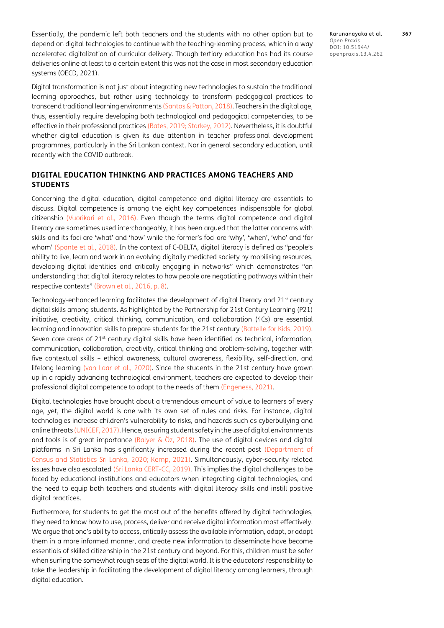Essentially, the pandemic left both teachers and the students with no other option but to depend on digital technologies to continue with the teaching-learning process, which in a way accelerated digitalization of curricular delivery. Though tertiary education has had its course deliveries online at least to a certain extent this was not the case in most secondary education systems (OECD, 2021).

Digital transformation is not just about integrating new technologies to sustain the traditional learning approaches, but rather using technology to transform pedagogical practices to transcend traditional learning environments [\(Santos & Patton, 2018\)](#page-11-10). Teachers in the digital age, thus, essentially require developing both technological and pedagogical competencies, to be effective in their professional practices ([Bates, 2019](#page-11-11); [Starkey, 2012\)](#page-11-12). Nevertheless, it is doubtful whether digital education is given its due attention in teacher professional development programmes, particularly in the Sri Lankan context. Nor in general secondary education, until recently with the COVID outbreak.

#### **DIGITAL EDUCATION THINKING AND PRACTICES AMONG TEACHERS AND STUDENTS**

Concerning the digital education, digital competence and digital literacy are essentials to discuss. Digital competence is among the eight key competences indispensable for global citizenship ([Vuorikari et al., 2016\)](#page-12-2). Even though the terms digital competence and digital literacy are sometimes used interchangeably, it has been argued that the latter concerns with skills and its foci are 'what' and 'how' while the former's foci are 'why', 'when', 'who' and 'for whom' ([Spante et al., 2018\)](#page-11-13). In the context of C-DELTA, digital literacy is defined as "people's ability to live, learn and work in an evolving digitally mediated society by mobilising resources, developing digital identities and critically engaging in networks" which demonstrates "an understanding that digital literacy relates to how people are negotiating pathways within their respective contexts" [\(Brown et al., 2016,](#page-11-4) p. 8).

Technology-enhanced learning facilitates the development of digital literacy and 21<sup>st</sup> century digital skills among students. As highlighted by the Partnership for 21st Century Learning (P21) initiative, creativity, critical thinking, communication, and collaboration (4Cs) are essential learning and innovation skills to prepare students for the 21st century ([Battelle for Kids, 2019](#page-11-14)). Seven core areas of 21<sup>st</sup> century digital skills have been identified as technical, information, communication, collaboration, creativity, critical thinking and problem-solving, together with five contextual skills – ethical awareness, cultural awareness, flexibility, self-direction, and lifelong learning ([van Laar et al., 2020\)](#page-12-3). Since the students in the 21st century have grown up in a rapidly advancing technological environment, teachers are expected to develop their professional digital competence to adapt to the needs of them (Engeness, 2021).

Digital technologies have brought about a tremendous amount of value to learners of every age, yet, the digital world is one with its own set of rules and risks. For instance, digital technologies increase children's vulnerability to risks, and hazards such as cyberbullying and online threats [\(UNICEF, 2017](#page-12-4)). Hence, assuring student safety in the use of digital environments and tools is of great importance (Balyer & Öz, 2018). The use of digital devices and digital platforms in Sri Lanka has significantly increased during the recent past ([Department of](#page-11-15)  [Census and Statistics Sri Lanka, 2020](#page-11-15); [Kemp, 2021\)](#page-11-16). Simultaneously, cyber-security related issues have also escalated ([Sri Lanka CERT-CC, 2019](#page-11-17)). This implies the digital challenges to be faced by educational institutions and educators when integrating digital technologies, and the need to equip both teachers and students with digital literacy skills and instill positive digital practices.

Furthermore, for students to get the most out of the benefits offered by digital technologies, they need to know how to use, process, deliver and receive digital information most effectively. We argue that one's ability to access, critically assess the available information, adapt, or adopt them in a more informed manner, and create new information to disseminate have become essentials of skilled citizenship in the 21st century and beyond. For this, children must be safer when surfing the somewhat rough seas of the digital world. It is the educators' responsibility to take the leadership in facilitating the development of digital literacy among learners, through digital education.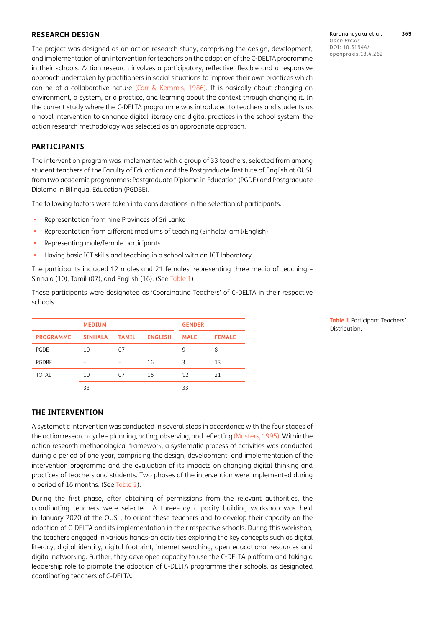#### **RESEARCH DESIGN**

The project was designed as an action research study, comprising the design, development, and implementation of an intervention for teachers on the adoption of the C-DELTA programme in their schools. Action research involves a participatory, reflective, flexible and a responsive approach undertaken by practitioners in social situations to improve their own practices which can be of a collaborative nature ([Carr & Kemmis, 1986](#page-11-18)). It is basically about changing an environment, a system, or a practice, and learning about the context through changing it. In the current study where the C-DELTA programme was introduced to teachers and students as a novel intervention to enhance digital literacy and digital practices in the school system, the action research methodology was selected as an appropriate approach.

#### **PARTICIPANTS**

The intervention program was implemented with a group of 33 teachers, selected from among student teachers of the Faculty of Education and the Postgraduate Institute of English at OUSL from two academic programmes: Postgraduate Diploma in Education (PGDE) and Postgraduate Diploma in Bilingual Education (PGDBE).

The following factors were taken into considerations in the selection of participants:

- **•**  Representation from nine Provinces of Sri Lanka
- **•**  Representation from different mediums of teaching (Sinhala/Tamil/English)
- **•**  Representing male/female participants
- **•**  Having basic ICT skills and teaching in a school with an ICT laboratory

The participants included 12 males and 21 females, representing three media of teaching – Sinhala (10), Tamil (07), and English (16). (See [Table 1\)](#page-4-0)

These participants were designated as 'Coordinating Teachers' of C-DELTA in their respective schools.

|                  | <b>MEDIUM</b>  |              |                | <b>GENDER</b> |               |
|------------------|----------------|--------------|----------------|---------------|---------------|
| <b>PROGRAMME</b> | <b>SINHALA</b> | <b>TAMIL</b> | <b>ENGLISH</b> | <b>MALE</b>   | <b>FEMALE</b> |
| <b>PGDE</b>      | 10             | 07           |                | 9             | 8             |
| <b>PGDBE</b>     |                |              | 16             | 3             | 13            |
| <b>TOTAL</b>     | 10             | 07           | 16             | 12            | 21            |
|                  | 33             |              |                | 33            |               |

<span id="page-4-0"></span>**Table 1** Participant Teachers' Distribution.

#### **THE INTERVENTION**

A systematic intervention was conducted in several steps in accordance with the four stages of the action research cycle – planning, acting, observing, and reflecting [\(Masters, 1995\)](#page-11-19). Within the action research methodological framework, a systematic process of activities was conducted during a period of one year, comprising the design, development, and implementation of the intervention programme and the evaluation of its impacts on changing digital thinking and practices of teachers and students. Two phases of the intervention were implemented during a period of 16 months. (See [Table 2](#page-5-0)).

During the first phase, after obtaining of permissions from the relevant authorities, the coordinating teachers were selected. A three-day capacity building workshop was held in January 2020 at the OUSL, to orient these teachers and to develop their capacity on the adoption of C-DELTA and its implementation in their respective schools. During this workshop, the teachers engaged in various hands-on activities exploring the key concepts such as digital literacy, digital identity, digital footprint, internet searching, open educational resources and digital networking. Further, they developed capacity to use the C-DELTA platform and taking a leadership role to promote the adoption of C-DELTA programme their schools, as designated coordinating teachers of C-DELTA.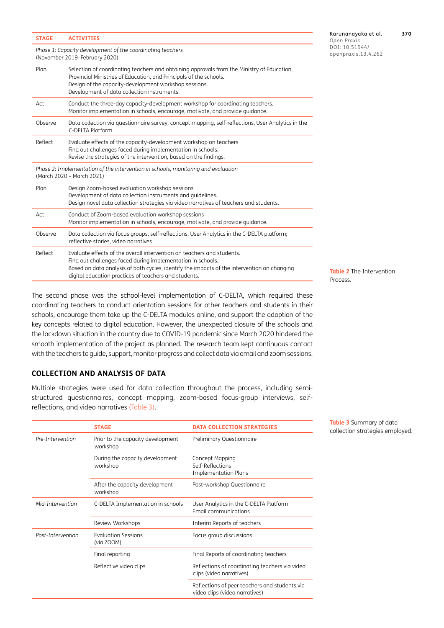| <b>STAGE</b>                                                                                                   | <b>ACTIVITIES</b>                                                                                                                                                                                                                                                                             |  |  |
|----------------------------------------------------------------------------------------------------------------|-----------------------------------------------------------------------------------------------------------------------------------------------------------------------------------------------------------------------------------------------------------------------------------------------|--|--|
| Phase 1: Capacity development of the coordinating teachers<br>(November 2019-February 2020)                    |                                                                                                                                                                                                                                                                                               |  |  |
| Plan                                                                                                           | Selection of coordinating teachers and obtaining approvals from the Ministry of Education,<br>Provincial Ministries of Education, and Principals of the schools.<br>Design of the capacity-development workshop sessions.<br>Development of data collection instruments.                      |  |  |
| Act                                                                                                            | Conduct the three-day capacity-development workshop for coordinating teachers.<br>Monitor implementation in schools, encourage, motivate, and provide quidance.                                                                                                                               |  |  |
| Observe                                                                                                        | Data collection via questionnaire survey, concept mapping, self-reflections, User Analytics in the<br>C-DELTA Platform                                                                                                                                                                        |  |  |
| Reflect                                                                                                        | Evaluate effects of the capacity-development workshop on teachers<br>Find out challenges faced during implementation in schools.<br>Revise the strategies of the intervention, based on the findings.                                                                                         |  |  |
| Phase 2: Implementation of the intervention in schools, monitoring and evaluation<br>(March 2020 - March 2021) |                                                                                                                                                                                                                                                                                               |  |  |
| Plan                                                                                                           | Design Zoom-based evaluation workshop sessions<br>Development of data collection instruments and quidelines.<br>Design novel data collection strategies via video narratives of teachers and students.                                                                                        |  |  |
| Act                                                                                                            | Conduct of Zoom-based evaluation workshop sessions<br>Monitor implementation in schools, encourage, motivate, and provide quidance.                                                                                                                                                           |  |  |
| Observe                                                                                                        | Data collection via focus groups, self-reflections, User Analytics in the C-DELTA platform;<br>reflective stories, video narratives                                                                                                                                                           |  |  |
| Reflect                                                                                                        | Evaluate effects of the overall intervention on teachers and students.<br>Find out challenges faced during implementation in schools.<br>Based on data analysis of both cycles, identify the impacts of the intervention on changing<br>digital education practices of teachers and students. |  |  |

The second phase was the school-level implementation of C-DELTA, which required these coordinating teachers to conduct orientation sessions for other teachers and students in their schools, encourage them take up the C-DELTA modules online, and support the adoption of the key concepts related to digital education. However, the unexpected closure of the schools and the lockdown situation in the country due to COVID-19 pandemic since March 2020 hindered the smooth implementation of the project as planned. The research team kept continuous contact with the teachers to guide, support, monitor progress and collect data via email and zoom sessions.

#### **COLLECTION AND ANALYSIS OF DATA**

Multiple strategies were used for data collection throughout the process, including semistructured questionnaires, concept mapping, zoom-based focus-group interviews, selfreflections, and video narratives ([Table 3](#page-5-1)).

|                   | <b>STAGE</b>                                  | <b>DATA COLLECTION STRATEGIES</b>                                               |  |
|-------------------|-----------------------------------------------|---------------------------------------------------------------------------------|--|
| Pre-Intervention  | Prior to the capacity development<br>workshop | Preliminary Questionnaire                                                       |  |
|                   | During the capacity development<br>workshop   | Concept Mapping<br>Self-Reflections<br><b>Implementation Plans</b>              |  |
|                   | After the capacity development<br>workshop    | Post-workshop Questionnaire                                                     |  |
| Mid-Intervention  | C-DELTA Implementation in schools             | User Analytics in the C-DELTA Platform<br>Email communications                  |  |
|                   | Review Workshops                              | Interim Reports of teachers                                                     |  |
| Post-Intervention | <b>Evaluation Sessions</b><br>(via ZOOM)      | Focus group discussions                                                         |  |
|                   | Final reporting                               | Final Reports of coordinating teachers                                          |  |
|                   | Reflective video clips                        | Reflections of coordinating teachers via video<br>clips (video narratives)      |  |
|                   |                                               | Reflections of peer teachers and students via<br>video clips (video narratives) |  |
|                   |                                               |                                                                                 |  |

<span id="page-5-0"></span>**Table 2** The Intervention **Process** 

<span id="page-5-1"></span>**Table 3** Summary of data collection strategies employed.

Karunanayaka et al. **370** *Open Praxis*  $DOI:$ openpraxis.13.4.262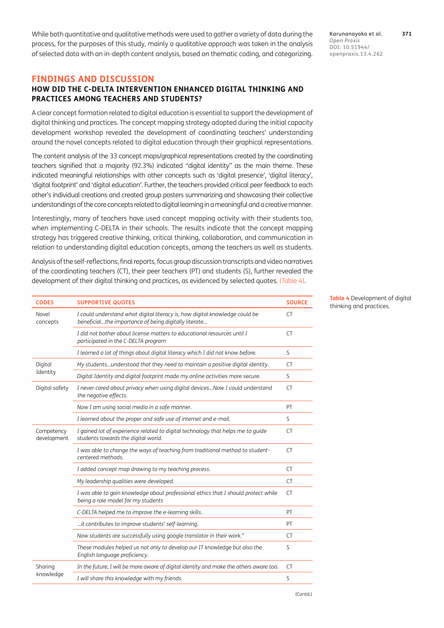While both quantitative and qualitative methods were used to gather a variety of data during the process, for the purposes of this study, mainly a qualitative approach was taken in the analysis of selected data with an in-depth content analysis, based on thematic coding, and categorizing.

### **FINDINGS AND DISCUSSION**

### **HOW DID THE C-DELTA INTERVENTION ENHANCED DIGITAL THINKING AND PRACTICES AMONG TEACHERS AND STUDENTS?**

A clear concept formation related to digital education is essential to support the development of digital thinking and practices. The concept mapping strategy adopted during the initial capacity development workshop revealed the development of coordinating teachers' understanding around the novel concepts related to digital education through their graphical representations.

The content analysis of the 33 concept maps/graphical representations created by the coordinating teachers signified that a majority (92.3%) indicated "digital identity" as the main theme. These indicated meaningful relationships with other concepts such as 'digital presence', 'digital literacy', 'digital footprint' and 'digital education'. Further, the teachers provided critical peer feedback to each other's individual creations and created group posters summarizing and showcasing their collective understandings of the core concepts related to digital learning in a meaningful and a creative manner.

Interestingly, many of teachers have used concept mapping activity with their students too, when implementing C-DELTA in their schools. The results indicate that the concept mapping strategy has triggered creative thinking, critical thinking, collaboration, and communication in relation to understanding digital education concepts, among the teachers as well as students.

Analysis of the self-reflections, final reports, focus group discussion transcripts and video narratives of the coordinating teachers (CT), their peer teachers (PT) and students (S), further revealed the development of their digital thinking and practices, as evidenced by selected quotes. ([Table 4](#page-6-0)).

| <b>CODES</b>              | <b>SUPPORTIVE QUOTES</b>                                                                                                            | <b>SOURCE</b> |
|---------------------------|-------------------------------------------------------------------------------------------------------------------------------------|---------------|
| Novel<br>concepts         | I could understand what digital literacy is, how digital knowledge could be<br>beneficialthe importance of being digitally literate | CT.           |
|                           | I did not bother about license matters to educational resources until I<br>participated in the C-DELTA program                      | CT.           |
|                           | I learned a lot of things about digital literacy which I did not know before.                                                       | S             |
| Digital                   | My studentsunderstood that they need to maintain a positive digital identity.                                                       | CT.           |
| Identity                  | Digital Identity and digital footprint made my online activities more secure.                                                       | S             |
| Digital safety            | I never cared about privacy when using digital devicesNow I could understand<br>the negative effects.                               | CT.           |
|                           | Now I am using social media in a safe manner.                                                                                       | PT            |
|                           | I learned about the proper and safe use of internet and e-mail.                                                                     | S.            |
| Competency<br>development | I gained lot of experience related to digital technology that helps me to guide<br>students towards the digital world.              | <b>CT</b>     |
|                           | I was able to change the ways of teaching from traditional method to student-<br>centered methods.                                  | CT.           |
|                           | I added concept map drawing to my teaching process.                                                                                 | CT.           |
|                           | My leadership qualities were developed.                                                                                             | CT.           |
|                           | I was able to gain knowledge about professional ethics that I should protect while<br>being a role model for my students            | CT.           |
|                           | C-DELTA helped me to improve the e-learning skills.                                                                                 | PT            |
|                           | it contributes to improve students' self-learning.                                                                                  | PT            |
|                           | Now students are successfully using google translator in their work."                                                               | CT.           |
|                           | These modules helped us not only to develop our IT knowledge but also the<br>English language proficiency.                          | S             |
| Sharing                   | In the future, I will be more aware of digital identity and make the others aware too.                                              | CT            |
| knowledge                 | I will share this knowledge with my friends.                                                                                        | S             |
|                           |                                                                                                                                     |               |

<span id="page-6-0"></span>**Table 4** Development of digital  $t$ hinking and practices.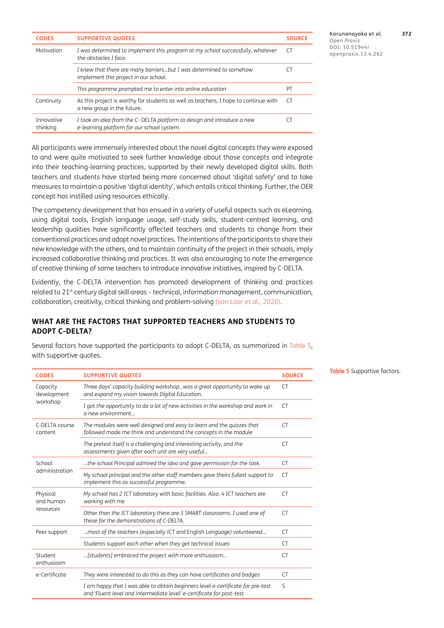| <b>CODES</b>           | <b>SUPPORTIVE QUOTES</b>                                                                                              | <b>SOURCE</b> |
|------------------------|-----------------------------------------------------------------------------------------------------------------------|---------------|
| Motivation             | I was determined to implement this program at my school successfully, whatever<br>the obstacles I face.               | C.            |
|                        | I knew that there are many barriersbut I was determined to somehow<br>implement this project in our school.           |               |
|                        | This programme prompted me to enter into online education                                                             | PT            |
| Continuity             | As this project is worthy for students as well as teachers, I hope to continue with<br>a new group in the future.     | CT)           |
| Innovative<br>thinking | I took an idea from the C- DELTA platform to design and introduce a new<br>e-learning platform for our school system. |               |

Karunanayaka et al. **372** *Open Praxis* DOI: openpraxis.13.4.262

All participants were immensely interested about the novel digital concepts they were exposed to and were quite motivated to seek further knowledge about those concepts and integrate into their teaching-learning practices, supported by their newly developed digital skills. Both teachers and students have started being more concerned about 'digital safety' and to take measures to maintain a positive 'digital identity', which entails critical thinking. Further, the OER concept has instilled using resources ethically.

The competency development that has ensued in a variety of useful aspects such as eLearning, using digital tools, English language usage, self-study skills, student-centred learning, and leadership qualities have significantly affected teachers and students to change from their conventional practices and adopt novel practices. The intentions of the participants to share their new knowledge with the others, and to maintain continuity of the project in their schools, imply increased collaborative thinking and practices. It was also encouraging to note the emergence of creative thinking of some teachers to introduce innovative initiatives, inspired by C-DELTA.

Evidently, the C-DELTA intervention has promoted development of thinking and practices related to 21<sup>st</sup> century digital skill areas - technical, information management, communication, collaboration, creativity, critical thinking and problem-solving ([van Laar et al., 2020](#page-12-3)).

### **WHAT ARE THE FACTORS THAT SUPPORTED TEACHERS AND STUDENTS TO ADOPT C-DELTA?**

Several factors have supported the participants to adopt C-DELTA, as summarized in [Table 5](#page-7-0), with supportive quotes.

| <b>CODES</b>                        | <b>SUPPORTIVE QUOTES</b>                                                                                                                                 | <b>SOURCE</b> |
|-------------------------------------|----------------------------------------------------------------------------------------------------------------------------------------------------------|---------------|
| Capacity<br>development<br>workshop | Three days' capacity building workshopwas a great opportunity to wake up<br>and expand my vision towards Digital Education.                              | CT.           |
|                                     | I got the opportunity to do a lot of new activities in the workshop and work in<br>a new environment                                                     | CT.           |
| C-DELTA course<br>content           | The modules were well designed and easy to learn and the quizzes that<br>followed made me think and understand the concepts in the module                | CT.           |
|                                     | The pretest itself is a challenging and interesting activity, and the<br>assessments given after each unit are very useful                               | CT.           |
| School<br>administration            | the school Principal admired the idea and gave permission for the task.                                                                                  | CT.           |
|                                     | My school principal and the other staff members gave theirs fullest support to<br>implement this as successful programme.                                | CT.           |
| Physical<br>and human<br>resources  | My school has 2 ICT laboratory with basic facilities. Also, 4 ICT teachers are<br>working with me                                                        | CT.           |
|                                     | Other than the ICT laboratory there are 3 SMART classrooms. I used one of<br>these for the demonstrations of C-DELTA.                                    | CT.           |
| Peer support                        | most of the teachers (especially ICT and English Language) volunteered                                                                                   | CT.           |
|                                     | Students support each other when they get technical issues                                                                                               | CT.           |
| Student<br>enthusiasm               | [students] embraced the project with more enthusiasm                                                                                                     | CT.           |
| e-Certificate                       | They were interested to do this as they can have certificates and badges                                                                                 | <b>CT</b>     |
|                                     | I am happy that I was able to obtain beginners level e-certificate for pre-test<br>and 'Fluent level and intermediate level' e-certificate for post-test | S             |

<span id="page-7-0"></span>**Table 5** Supportive factors.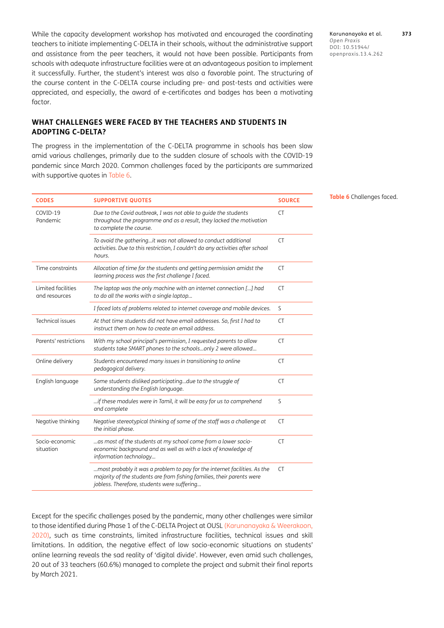While the capacity development workshop has motivated and encouraged the coordinating teachers to initiate implementing C-DELTA in their schools, without the administrative support and assistance from the peer teachers, it would not have been possible. Participants from schools with adequate infrastructure facilities were at an advantageous position to implement it successfully. Further, the student's interest was also a favorable point. The structuring of the course content in the C-DELTA course including pre- and post-tests and activities were appreciated, and especially, the award of e-certificates and badges has been a motivating factor.

## **WHAT CHALLENGES WERE FACED BY THE TEACHERS AND STUDENTS IN ADOPTING C-DELTA?**

The progress in the implementation of the C-DELTA programme in schools has been slow amid various challenges, primarily due to the sudden closure of schools with the COVID-19 pandemic since March 2020. Common challenges faced by the participants are summarized with supportive quotes in [Table 6](#page-8-0).

| <b>CODES</b>                        | <b>SUPPORTIVE QUOTES</b>                                                                                                                                                                           | <b>SOURCE</b> |
|-------------------------------------|----------------------------------------------------------------------------------------------------------------------------------------------------------------------------------------------------|---------------|
| COVID-19<br>Pandemic                | Due to the Covid outbreak, I was not able to quide the students<br>throughout the programme and as a result, they lacked the motivation<br>to complete the course.                                 | <b>CT</b>     |
|                                     | To avoid the gatheringit was not allowed to conduct additional<br>activities. Due to this restriction, I couldn't do any activities after school<br>hours.                                         | <b>CT</b>     |
| Time constraints                    | Allocation of time for the students and getting permission amidst the<br>learning process was the first challenge I faced.                                                                         | <b>CT</b>     |
| Limited facilities<br>and resources | The laptop was the only machine with an internet connection [] had<br>to do all the works with a single laptop                                                                                     | <b>CT</b>     |
|                                     | I faced lots of problems related to internet coverage and mobile devices.                                                                                                                          | S             |
| Technical issues                    | At that time students did not have email addresses. So, first I had to<br>instruct them on how to create an email address.                                                                         | <b>CT</b>     |
| Parents' restrictions               | With my school principal's permission, I requested parents to allow<br>students take SMART phones to the schoolsonly 2 were allowed                                                                | <b>CT</b>     |
| Online delivery                     | Students encountered many issues in transitioning to online<br>pedagogical delivery.                                                                                                               | <b>CT</b>     |
| English language                    | Some students disliked participatingdue to the struggle of<br>understanding the English language.                                                                                                  | <b>CT</b>     |
|                                     | if these modules were in Tamil, it will be easy for us to comprehend<br>and complete                                                                                                               | S             |
| Negative thinking                   | Negative stereotypical thinking of some of the staff was a challenge at<br>the initial phase.                                                                                                      | CT.           |
| Socio-economic<br>situation         | as most of the students at my school come from a lower socio-<br>economic background and as well as with a lack of knowledge of<br>information technology                                          | CT.           |
|                                     | most probably it was a problem to pay for the internet facilities. As the<br>majority of the students are from fishing families, their parents were<br>jobless. Therefore, students were suffering | CT            |

Except for the specific challenges posed by the pandemic, many other challenges were similar to those identified during Phase 1 of the C-DELTA Project at OUSL (Karunanayaka & Weerakoon, [2020](#page-11-6)), such as time constraints, limited infrastructure facilities, technical issues and skill limitations. In addition, the negative effect of low socio-economic situations on students' online learning reveals the sad reality of 'digital divide'. However, even amid such challenges, 20 out of 33 teachers (60.6%) managed to complete the project and submit their final reports by March 2021.

Karunanayaka et al. **373** *Open Praxis*  $DOI:$ openpraxis.13.4.262

<span id="page-8-0"></span>**Table 6** Challenges faced.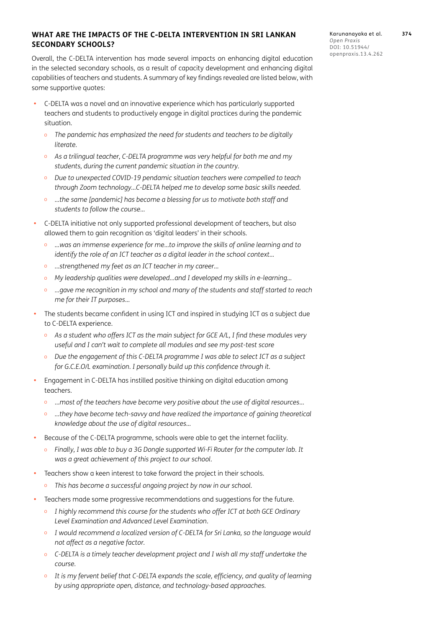### **WHAT ARE THE IMPACTS OF THE C-DELTA INTERVENTION IN SRI LANKAN SECONDARY SCHOOLS?**

Overall, the C-DELTA intervention has made several impacts on enhancing digital education in the selected secondary schools, as a result of capacity development and enhancing digital capabilities of teachers and students. A summary of key findings revealed are listed below, with some supportive quotes:

- C-DELTA was a novel and an innovative experience which has particularly supported teachers and students to productively engage in digital practices during the pandemic situation.
	- o *The pandemic has emphasized the need for students and teachers to be digitally literate.*
	- o *As a trilingual teacher, C-DELTA programme was very helpful for both me and my students, during the current pandemic situation in the country.*
	- o *Due to unexpected COVID-19 pendamic situation teachers were compelled to teach through Zoom technology…C-DELTA helped me to develop some basic skills needed.*
	- o *…the same [pandemic] has become a blessing for us to motivate both staff and students to follow the course…*
- **•**  C-DELTA initiative not only supported professional development of teachers, but also allowed them to gain recognition as 'digital leaders' in their schools.
	- o *…was an immense experience for me…to improve the skills of online learning and to identify the role of an ICT teacher as a digital leader in the school context…*
	- o *...strengthened my feet as an ICT teacher in my career…*
	- o *My leadership qualities were developed…and I developed my skills in e-learning…*
	- o *…gave me recognition in my school and many of the students and staff started to reach me for their IT purposes…*
- **•** The students became confident in using ICT and inspired in studying ICT as a subject due to C-DELTA experience.
	- o *As a student who offers ICT as the main subject for GCE A/L, I find these modules very useful and I can't wait to complete all modules and see my post-test score*
	- o *Due the engagement of this C-DELTA programme I was able to select ICT as a subject for G.C.E.O/L examination. I personally build up this confidence through it.*
- **•**  Engagement in C-DELTA has instilled positive thinking on digital education among teachers.
	- o …*most of the teachers have become very positive about the use of digital resources*…
	- o *…they have become tech-savvy and have realized the importance of gaining theoretical knowledge about the use of digital resources…*
- Because of the C-DELTA programme, schools were able to get the internet facility.
	- o *Finally, I was able to buy a 3G Dongle supported Wi-Fi Router for the computer lab. It was a great achievement of this project to our school.*
- Teachers show a keen interest to take forward the project in their schools.
	- o *This has become a successful ongoing project by now in our school.*
- **•**  Teachers made some progressive recommendations and suggestions for the future.
	- o *I highly recommend this course for the students who offer ICT at both GCE Ordinary Level Examination and Advanced Level Examination*.
	- o *I would recommend a localized version of C-DELTA for Sri Lanka, so the language would not affect as a negative factor.*
	- o *C-DELTA is a timely teacher development project and I wish all my staff undertake the course.*
	- o *It is my fervent belief that C-DELTA expands the scale, efficiency, and quality of learning by using appropriate open, distance, and technology-based approaches.*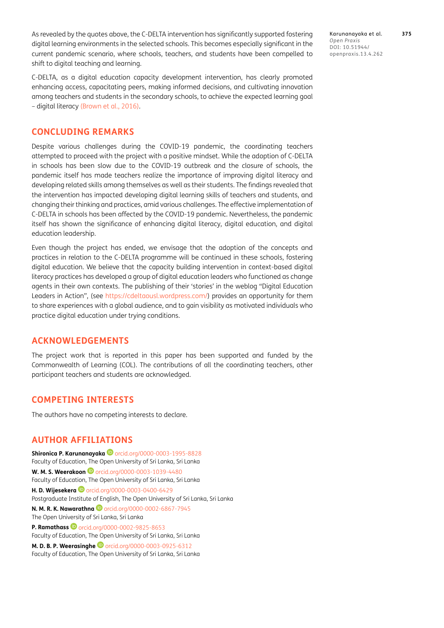As revealed by the quotes above, the C-DELTA intervention has significantly supported fostering digital learning environments in the selected schools. This becomes especially significant in the current pandemic scenario, where schools, teachers, and students have been compelled to shift to digital teaching and learning.

C-DELTA, as a digital education capacity development intervention, has clearly promoted enhancing access, capacitating peers, making informed decisions, and cultivating innovation among teachers and students in the secondary schools, to achieve the expected learning goal – digital literacy ([Brown et al., 2016](#page-11-4)).

## **CONCLUDING REMARKS**

Despite various challenges during the COVID-19 pandemic, the coordinating teachers attempted to proceed with the project with a positive mindset. While the adoption of C-DELTA in schools has been slow due to the COVID-19 outbreak and the closure of schools, the pandemic itself has made teachers realize the importance of improving digital literacy and developing related skills among themselves as well as their students. The findings revealed that the intervention has impacted developing digital learning skills of teachers and students, and changing their thinking and practices, amid various challenges. The effective implementation of C-DELTA in schools has been affected by the COVID-19 pandemic. Nevertheless, the pandemic itself has shown the significance of enhancing digital literacy, digital education, and digital education leadership.

Even though the project has ended, we envisage that the adoption of the concepts and practices in relation to the C-DELTA programme will be continued in these schools, fostering digital education. We believe that the capacity building intervention in context-based digital literacy practices has developed a group of digital education leaders who functioned as change agents in their own contexts. The publishing of their 'stories' in the weblog "Digital Education Leaders in Action", (see <https://cdeltaousl.wordpress.com/>) provides an opportunity for them to share experiences with a global audience, and to gain visibility as motivated individuals who practice digital education under trying conditions.

## **ACKNOWLEDGEMENTS**

The project work that is reported in this paper has been supported and funded by the Commonwealth of Learning (COL). The contributions of all the coordinating teachers, other participant teachers and students are acknowledged.

# **COMPETING INTERESTS**

The authors have no competing interests to declare.

# <span id="page-10-0"></span>**AUTHOR AFFILIATIONS**

**Shironica P. Karunanayaka D** [orcid.org/0000-0003-1995-8828](https://orcid.org/0000-0003-1995-8828) Faculty of Education, The Open University of Sri Lanka, Sri Lanka **W. M. S. Weerakoon D** [orcid.org/0000-0003-1039-4480](https://orcid.org/0000-0003-1039-4480) Faculty of Education, The Open University of Sri Lanka, Sri Lanka **H. D. Wijesekera D** orcid.org/0000-0003-0400-6429 Postgraduate Institute of English, The Open University of Sri Lanka, Sri Lanka **N. M. R. K. Nawarathna D** orcid.org/0000-0002-6867-7945 The Open University of Sri Lanka, Sri Lanka **P. Ramathass** orcid.org/0000-0002-9825-8653 Faculty of Education, The Open University of Sri Lanka, Sri Lanka **M. D. B. P. Weerasinghe D** [orcid.org/0000-0003-0925-6312](https://orcid.org/0000-0003-0925-6312) Faculty of Education, The Open University of Sri Lanka, Sri Lanka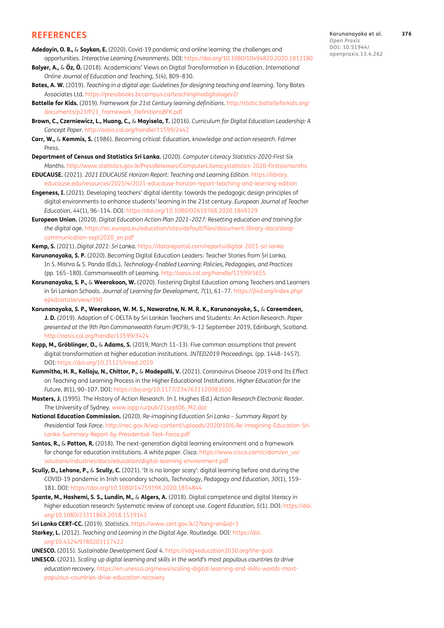#### **REFERENCES**

- <span id="page-11-8"></span>**Adedoyin, O. B.,** & **Soykan, E.** (2020). Covid-19 pandemic and online learning: the challenges and opportunities. *Interactive Learning Environments*. DOI:<https://doi.org/10.1080/10494820.2020.1813180>
- **Balyer, A.,** & **Öz, Ö.** (2018). Academicians' Views on Digital Transformation in Education. *International Online Journal of Education and Teaching, 5*(4), 809–830.
- <span id="page-11-11"></span>**Bates, A. W.** (2019). *Teaching in a digital age: Guidelines for designing teaching and learning*. Tony Bates Associates Ltd.<https://pressbooks.bccampus.ca/teachinginadigitalagev2/>
- <span id="page-11-14"></span>**Battelle for Kids.** (2019). *Framework for 21st Century learning definitions*. [http://static.battelleforkids.org/](http://static.battelleforkids.org/documents/p21/P21_Framework_DefinitionsBFK.pdf) [documents/p21/P21\\_Framework\\_DefinitionsBFK.pdf](http://static.battelleforkids.org/documents/p21/P21_Framework_DefinitionsBFK.pdf)
- <span id="page-11-4"></span>**Brown, C., Czerniewicz, L., Huang, C.,** & **Mayisela, T.** (2016). *Curriculum for Digital Education Leadership: A Concept Paper*. <http://oasis.col.org/handle/11599/2442>
- <span id="page-11-18"></span>**Carr, W.,** & **Kemmis, S.** (1986). *Becoming critical: Education, knowledge and action research*. Falmer Press.
- <span id="page-11-15"></span>**Department of Census and Statistics Sri Lanka.** (2020). *Computer Literacy Statistics-2020-First Six Months*[. http://www.statistics.gov.lk/PressReleases/ComputerLiteracystatistics-2020-Firstsixmonths](Months.http://www.statistics.gov.lk/PressReleases/ComputerLiteracystatistics-2020-Firstsixmonths)
- <span id="page-11-2"></span>**EDUCAUSE.** (2021). *2021 EDUCAUSE Horizon Report: Teaching and Learning Edition*. [https://library.](https://library.educause.edu/resources/2021/4/2021-educause-horizon-report-teaching-and-learning-edition) [educause.edu/resources/2021/4/2021-educause-horizon-report-teaching-and-learning-edition](https://library.educause.edu/resources/2021/4/2021-educause-horizon-report-teaching-and-learning-edition)
- **Engeness, I.** (2021). Developing teachers' digital identity: towards the pedagogic design principles of digital environments to enhance students' learning in the 21st century. *European Journal of Teacher Education, 44*(1), 96–114. DOI:<https://doi.org/10.1080/02619768.2020.1849129>
- <span id="page-11-3"></span>**European Union.** (2020). *Digital Education Action Plan 2021–2027: Resetting education and training for the digital age*. [https://ec.europa.eu/education/sites/default/files/document-library-docs/deap](https://ec.europa.eu/education/sites/default/files/document-library-docs/deap-communication-sept2020_en.pdf)[communication-sept2020\\_en.pdf](https://ec.europa.eu/education/sites/default/files/document-library-docs/deap-communication-sept2020_en.pdf)

<span id="page-11-16"></span>**Kemp, S.** (2021). *Digital 2021: Sri Lanka*. <https://datareportal.com/reports/digital-2021-sri-lanka>

- <span id="page-11-5"></span>**Karunanayaka, S. P.** (2020). Becoming Digital Education Leaders: Teacher Stories from Sri Lanka. In S. Mishra & S. Panda (Eds.), *Technology-Enabled Learning: Policies, Pedagogies, and Practices* (pp. 165–180). Commonwealth of Learning.<http://oasis.col.org/handle/11599/3655>
- <span id="page-11-6"></span>**Karunanayaka, S. P.,** & **Weerakoon, W.** (2020). Fostering Digital Education among Teachers and Learners in Sri Lankan Schools. *Journal of Learning for Development*, *7*(1), 61–77. [https://jl4d.org/index.php/](https://jl4d.org/index.php/ejl4d/article/view/390) [ejl4d/article/view/390](https://jl4d.org/index.php/ejl4d/article/view/390)
- <span id="page-11-7"></span>**Karunanayaka, S. P., Weerakoon, W. M. S., Nawaratne, N. M. R. K., Karunanayake, S.,** & **Careemdeen, J. D.** (2019). Adoption of C-DELTA by Sri Lankan Teachers and Students: An Action Research. *Paper presented at the 9th Pan Commonwealth Forum (PCF9)*, 9–12 September 2019, Edinburgh, Scotland. <http://oasis.col.org/handle/11599/3424>
- **Kopp, M., Gröblinger, O.,** & **Adams, S.** (2019, March 11–13). Five common assumptions that prevent digital transformation at higher education institutions. *INTED2019 Proceedings.* (pp. 1448–1457). DOI:<https://doi.org/10.21125/inted.2019>
- <span id="page-11-9"></span>**Kummitha, H. R., Kolloju, N., Chittor, P.,** & **Madepalli, V.** (2021). Coronavirus Disease 2019 and Its Effect on Teaching and Learning Process in the Higher Educational Institutions. *Higher Education for the Future, 8*(1), 90–107. DOI:<https://doi.org/10.1177/2347631120983650>
- <span id="page-11-19"></span>**Masters, J.** (1995). The History of Action Research. In I. Hughes (Ed.) *Action Research Electronic Reader*. The University of Sydney. [www.iopp.ru/pub/21sept06\\_M2.doc](www.iopp.ru/pub/21sept06_M2.doc)
- <span id="page-11-1"></span>**National Education Commission.** (2020). *Re-imagining Education Sri Lanka – Summary Report by Presidential Task Force*. [http://nec.gov.lk/wp-content/uploads/2020/10/6.Re-imagining-Education-Sri-](http://nec.gov.lk/wp-content/uploads/2020/10/6.Re-imagining-Education-Sri-Lanka-Summary-Report-by-Presidential-Task-Force.pdf)[Lanka-Summary-Report-by-Presidential-Task-Force.pdf](http://nec.gov.lk/wp-content/uploads/2020/10/6.Re-imagining-Education-Sri-Lanka-Summary-Report-by-Presidential-Task-Force.pdf)
- <span id="page-11-10"></span>**Santos, R.,** & **Patton, R.** (2018). The next-generation digital learning environment and a framework for change for education institutions. *A white paper. Cisco*. [https://www.cisco.com/c/dam/en\\_us/](https://www.cisco.com/c/dam/en_us/solutions/industries/docs/education/digital-learning-environment.pdf) [solutions/industries/docs/education/digital-learning-environment.pdf](https://www.cisco.com/c/dam/en_us/solutions/industries/docs/education/digital-learning-environment.pdf)
- **Scully, D., Lehane, P.,** & **Scully, C.** (2021). 'It is no longer scary': digital learning before and during the COVID-19 pandemic in Irish secondary schools, *Technology, Pedagogy and Education, 30*(1), 159– 181. DOI: <https://doi.org/10.1080/1475939X.2020.1854844>
- <span id="page-11-13"></span>**Spante, M., Hashemi, S. S., Lundin, M.,** & **Algers, A.** (2018). Digital competence and digital literacy in higher education research: Systematic review of concept use. *Cogent Education, 5*(1). DOI: [https://doi.](https://doi.org/10.1080/2331186X.2018.1519143) [org/10.1080/2331186X.2018.1519143](https://doi.org/10.1080/2331186X.2018.1519143)
- <span id="page-11-17"></span>**Sri Lanka CERT-CC.** (2019). *Statistics*.<https://www.cert.gov.lk/2?lang=en&id=3>
- <span id="page-11-12"></span>**Starkey, L.** (2012). *Teaching and Learning in the Digital Age*. Routledge. DOI: [https://doi.](https://doi.org/10.4324/9780203117422) [org/10.4324/9780203117422](https://doi.org/10.4324/9780203117422)
- <span id="page-11-0"></span>**UNESCO.** (2015). *Sustainable Development Goal 4*. <https://sdg4education2030.org/the-goal>
- **UNESCO.** (2021). *Scaling up digital learning and skills in the world's most populous countries to drive education recovery*. [https://en.unesco.org/news/scaling-digital-learning-and-skills-worlds-most](https://en.unesco.org/news/scaling-digital-learning-and-skills-worlds-most-populous-countries-drive-education-recovery)[populous-countries-drive-education-recovery](https://en.unesco.org/news/scaling-digital-learning-and-skills-worlds-most-populous-countries-drive-education-recovery)